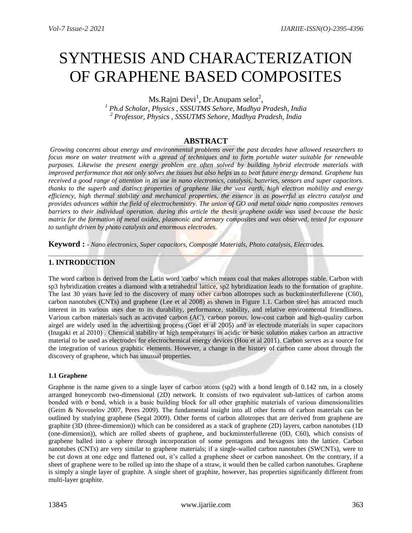# SYNTHESIS AND CHARACTERIZATION OF GRAPHENE BASED COMPOSITES

Ms.Rajni Devi<sup>1</sup>, Dr.Anupam selot<sup>2</sup>,

*<sup>1</sup> Ph.d Scholar, Physics , SSSUTMS Sehore, Madhya Pradesh, India <sup>2</sup> Professor, Physics , SSSUTMS Sehore, Madhya Pradesh, India*

# **ABSTRACT**

*Growing concerns about energy and environmental problems over the past decades have allowed researchers to focus more on water treatment with a spread of techniques and to form portable water suitable for renewable purposes. Likewise the present energy problem are often solved by building hybrid electrode materials with improved performance that not only solves the issues but also helps us to beat future energy demand. Graphene has received a good range of attention in its use in nano electronics, catalysis, batteries, sensors and super capacitors. thanks to the superb and distinct properties of graphene like the vast earth, high electron mobility and energy efficiency, high thermal stability and mechanical properties, the essence is as powerful as electro catalyst and provides advances within the field of electrochemistry. The union of GO and metal oxide nano composites removes barriers to their individual operation. during this article the thesis graphene oxide was used because the basic matrix for the formation of metal oxides, plasmonic and ternary composites and was observed, tested for exposure to sunlight driven by photo catalysis and enormous electrodes.*

**Keyword : -** *Nano electronics, Super capacitors, Composite Materials, Photo catalysis, Electrodes.*

# **1. INTRODUCTION**

The word carbon is derived from the Latin word 'carbo' which means coal that makes allotropes stable. Carbon with sp3 hybridization creates a diamond with a tetrahedral lattice, sp2 hybridization leads to the formation of graphite. The last 30 years have led to the discovery of many other carbon allotropes such as buckminsterfullerene (C60), carbon nanotubes (CNTs) and graphene (Lee et al 2008) as shown in Figure 1.1. Carbon steel has attracted much interest in its various uses due to its durability, performance, stability, and relative environmental friendliness. Various carbon materials such as activated carbon (AC), carbon porous, low-cost carbon and high-quality carbon airgel are widely used in the advertising process (Goel et al 2005) and as electrode materials in super capacitors (Inagaki et al 2010) . Chemical stability at high temperatures in acidic or basic solution makes carbon an attractive material to be used as electrodes for electrochemical energy devices (Hou et al 2011). Carbon serves as a source for the integration of various graphitic elements. However, a change in the history of carbon came about through the discovery of graphene, which has unusual properties.

## **1.1 Graphene**

Graphene is the name given to a single layer of carbon atoms (sp2) with a bond length of 0.142 nm, in a closely arranged honeycomb two-dimensional (2D) network. It consists of two equivalent sub-lattices of carbon atoms bonded with  $\sigma$  bond, which is a basic building block for all other graphitic materials of various dimensionalities (Geim & Novoselov 2007, Peres 2009). The fundamental insight into all other forms of carbon materials can be outlined by studying graphene (Segal 2009). Other forms of carbon allotropes that are derived from graphene are graphite (3D (three-dimension)) which can be considered as a stack of graphene (2D) layers, carbon nanotubes (1D (one-dimension)), which are rolled sheets of graphene, and buckminsterfullerene (0D, C60), which consists of graphene balled into a sphere through incorporation of some pentagons and hexagons into the lattice. Carbon nanotubes (CNTs) are very similar to graphene materials; if a single-walled carbon nanotubes (SWCNTs), were to be cut down at one edge and flattened out, it's called a graphene sheet or carbon nanosheet. On the contrary, if a sheet of graphene were to be rolled up into the shape of a straw, it would then be called carbon nanotubes. Graphene is simply a single layer of graphite. A single sheet of graphite, however, has properties significantly different from multi-layer graphite.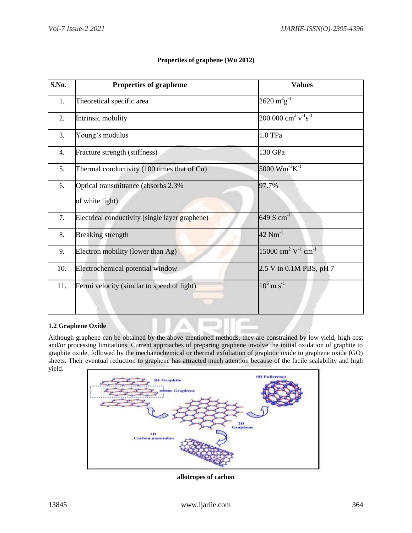| S.No. | <b>Properties of grapheme</b>                          | <b>Values</b>                                                      |
|-------|--------------------------------------------------------|--------------------------------------------------------------------|
| 1.    | Theoretical specific area                              | $2620 \text{ m}^2 \text{g}^{-1}$                                   |
| 2.    | Intrinsic mobility                                     | 200 000 cm <sup>2</sup> $v^{-1} s^{-1}$                            |
| 3.    | Young's modulus                                        | 1.0 TPa                                                            |
| 4.    | Fracture strength (stiffness)                          | 130 GPa                                                            |
| 5.    | Thermal conductivity (100 times that of Cu)            | 5000 $Wm^{-1}K^{-1}$                                               |
| 6.    | Optical transmittance (absorbs 2.3%<br>of white light) | 97.7%                                                              |
| 7.    | Electrical conductivity (single layer graphene)        | 649 S $cm^{-1}$                                                    |
| 8.    | <b>Breaking strength</b>                               | $42 \text{ Nm}^{-1}$                                               |
| 9.    | Electron mobility (lower than Ag)                      | 15000 cm <sup>2</sup> $\overline{V}$ <sup>1</sup> cm <sup>-1</sup> |
| 10.   | Electrochemical potential window                       | 2.5 V in 0.1M PBS, pH 7                                            |
| 11.   | Fermi velocity (similar to speed of light)             | $10^6$ m s <sup>-1</sup>                                           |

## **Properties of graphene (Wu 2012)**

## **1.2 Graphene Oxide**

Although graphene can be obtained by the above mentioned methods, they are constrained by low yield, high cost and/or processing limitations. Current approaches of preparing graphene involve the initial oxidation of graphite to graphite oxide, followed by the mechanochemical or thermal exfoliation of graphitic oxide to graphene oxide (GO) sheets. Their eventual reduction to graphene has attracted much attention because of the facile scalability and high yield.

m

ú



**allotropes of carbon**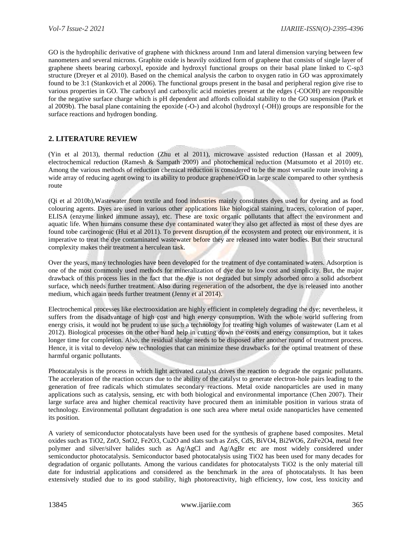GO is the hydrophilic derivative of graphene with thickness around 1nm and lateral dimension varying between few nanometers and several microns. Graphite oxide is heavily oxidized form of graphene that consists of single layer of graphene sheets bearing carboxyl, epoxide and hydroxyl functional groups on their basal plane linked to C-sp3 structure (Dreyer et al 2010). Based on the chemical analysis the carbon to oxygen ratio in GO was approximately found to be 3:1 (Stankovich et al 2006). The functional groups present in the basal and peripheral region give rise to various properties in GO. The carboxyl and carboxylic acid moieties present at the edges (-COOH) are responsible for the negative surface charge which is pH dependent and affords colloidal stability to the GO suspension (Park et al 2009b). The basal plane containing the epoxide (-O-) and alcohol (hydroxyl (-OH)) groups are responsible for the surface reactions and hydrogen bonding.

# **2. LITERATURE REVIEW**

(Yin et al 2013), thermal reduction (Zhu et al 2011), microwave assisted reduction (Hassan et al 2009), electrochemical reduction (Ramesh & Sampath 2009) and photochemical reduction (Matsumoto et al 2010) etc. Among the various methods of reduction chemical reduction is considered to be the most versatile route involving a wide array of reducing agent owing to its ability to produce graphene/rGO in large scale compared to other synthesis route

(Qi et al 2010b),Wastewater from textile and food industries mainly constitutes dyes used for dyeing and as food colouring agents. Dyes are used in various other applications like biological staining, tracers, coloration of paper, ELISA (enzyme linked immune assay), etc. These are toxic organic pollutants that affect the environment and aquatic life. When humans consume these dye contaminated water they also get affected as most of these dyes are found tobe carcinogenic (Hui et al 2011). To prevent disruption of the ecosystem and protect our environment, it is imperative to treat the dye contaminated wastewater before they are released into water bodies. But their structural complexity makes their treatment a herculean task.

Over the years, many technologies have been developed for the treatment of dye contaminated waters. Adsorption is one of the most commonly used methods for mineralization of dye due to low cost and simplicity. But, the major drawback of this process lies in the fact that the dye is not degraded but simply adsorbed onto a solid adsorbent surface, which needs further treatment. Also during regeneration of the adsorbent, the dye is released into another medium, which again needs further treatment (Jenny et al 2014).

Electrochemical processes like electrooxidation are highly efficient in completely degrading the dye; nevertheless, it suffers from the disadvantage of high cost and high energy consumption. With the whole world suffering from energy crisis, it would not be prudent to use such a technology for treating high volumes of wastewater (Lam et al 2012). Biological processes on the other hand help in cutting down the costs and energy consumption, but it takes longer time for completion. Also, the residual sludge needs to be disposed after another round of treatment process. Hence, it is vital to develop new technologies that can minimize these drawbacks for the optimal treatment of these harmful organic pollutants.

Photocatalysis is the process in which light activated catalyst drives the reaction to degrade the organic pollutants. The acceleration of the reaction occurs due to the ability of the catalyst to generate electron-hole pairs leading to the generation of free radicals which stimulates secondary reactions. Metal oxide nanoparticles are used in many applications such as catalysis, sensing, etc with both biological and environmental importance (Chen 2007). Their large surface area and higher chemical reactivity have procured them an inimitable position in various strata of technology. Environmental pollutant degradation is one such area where metal oxide nanoparticles have cemented its position.

A variety of semiconductor photocatalysts have been used for the synthesis of graphene based composites. Metal oxides such as TiO2, ZnO, SnO2, Fe2O3, Cu2O and slats such as ZnS, CdS, BiVO4, Bi2WO6, ZnFe2O4, metal free polymer and silver/silver halides such as Ag/AgCl and Ag/AgBr etc are most widely considered under semiconductor photocatalysis. Semiconductor based photocatalysis using TiO2 has been used for many decades for degradation of organic pollutants. Among the various candidates for photocatalysts TiO2 is the only material till date for industrial applications and considered as the benchmark in the area of photocatalysts. It has been extensively studied due to its good stability, high photoreactivity, high efficiency, low cost, less toxicity and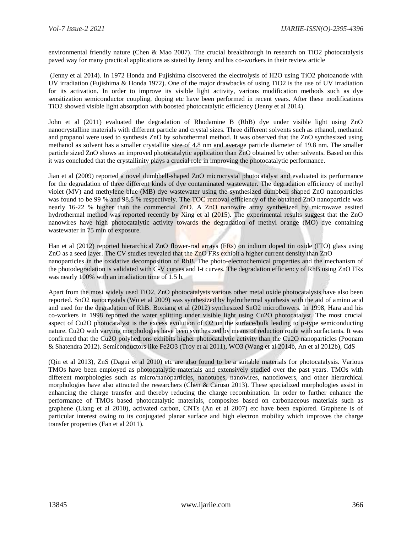environmental friendly nature (Chen & Mao 2007). The crucial breakthrough in research on TiO2 photocatalysis paved way for many practical applications as stated by Jenny and his co-workers in their review article

(Jenny et al 2014). In 1972 Honda and Fujishima discovered the electrolysis of H2O using TiO2 photoanode with UV irradiation (Fujishima & Honda 1972). One of the major drawbacks of using TiO2 is the use of UV irradiation for its activation. In order to improve its visible light activity, various modification methods such as dye sensitization semiconductor coupling, doping etc have been performed in recent years. After these modifications TiO2 showed visible light absorption with boosted photocatalytic efficiency (Jenny et al 2014).

John et al (2011) evaluated the degradation of Rhodamine B (RhB) dye under visible light using ZnO nanocrystalline materials with different particle and crystal sizes. Three different solvents such as ethanol, methanol and propanol were used to synthesis ZnO by solvothermal method. It was observed that the ZnO synthesized using methanol as solvent has a smaller crystallite size of 4.8 nm and average particle diameter of 19.8 nm. The smaller particle sized ZnO shows an improved photocatalytic application than ZnO obtained by other solvents. Based on this it was concluded that the crystallinity plays a crucial role in improving the photocatalytic performance.

Jian et al (2009) reported a novel dumbbell-shaped ZnO microcrystal photocatalyst and evaluated its performance for the degradation of three different kinds of dye contaminated wastewater. The degradation efficiency of methyl violet (MV) and methylene blue (MB) dye wastewater using the synthesized dumbbell shaped ZnO nanoparticles was found to be 99 % and 98.5 % respectively. The TOC removal efficiency of the obtained ZnO nanoparticle was nearly 16-22 % higher than the commercial ZnO. A ZnO nanowire array synthesized by microwave assited hydrothermal method was reported recently by Xing et al (2015). The experimental results suggest that the ZnO nanowires have high photocatalytic activity towards the degradation of methyl orange (MO) dye containing wastewater in 75 min of exposure.

Han et al (2012) reported hierarchical ZnO flower-rod arrays (FRs) on indium doped tin oxide (ITO) glass using ZnO as a seed layer. The CV studies revealed that the ZnO FRs exhibit a higher current density than ZnO nanoparticles in the oxidative decomposition of RhB. The photo-electrochemical properties and the mechanism of the photodegradation is validated with C-V curves and I-t curves. The degradation efficiency of RhB using ZnO FRs was nearly 100% with an irradiation time of 1.5 h.

Apart from the most widely used TiO2, ZnO photocatalysts various other metal oxide photocatalysts have also been reported. SnO2 nanocrystals (Wu et al 2009) was synthesized by hydrothermal synthesis with the aid of amino acid and used for the degradation of RhB. Boxiang et al (2012) synthesized SnO2 microflowers. In 1998, Hara and his co-workers in 1998 reported the water splitting under visible light using Cu2O photocatalyst. The most crucial aspect of Cu2O photocatalyst is the excess evolution of O2 on the surface/bulk leading to p-type semiconducting nature. Cu2O with varying morphologies have been synthesized by means of reduction route with surfactants. It was confirmed that the Cu2O polyhedrons exhibits higher photocatalytic activity than the Cu2O nanoparticles (Poonam & Shatendra 2012). Semiconductors like Fe2O3 (Troy et al 2011), WO3 (Wang et al 2014b, An et al 2012b), CdS

(Qin et al 2013), ZnS (Dagui et al 2010) etc are also found to be a suitable materials for photocatalysis. Various TMOs have been employed as photocatalytic materials and extensively studied over the past years. TMOs with different morphologies such as micro/nanoparticles, nanotubes, nanowires, nanoflowers, and other hierarchical morphologies have also attracted the researchers (Chen & Caruso 2013). These specialized morphologies assist in enhancing the charge transfer and thereby reducing the charge recombination. In order to further enhance the performance of TMOs based photocatalytic materials, composites based on carbonaceous materials such as graphene (Liang et al 2010), activated carbon, CNTs (An et al 2007) etc have been explored. Graphene is of particular interest owing to its conjugated planar surface and high electron mobility which improves the charge transfer properties (Fan et al 2011).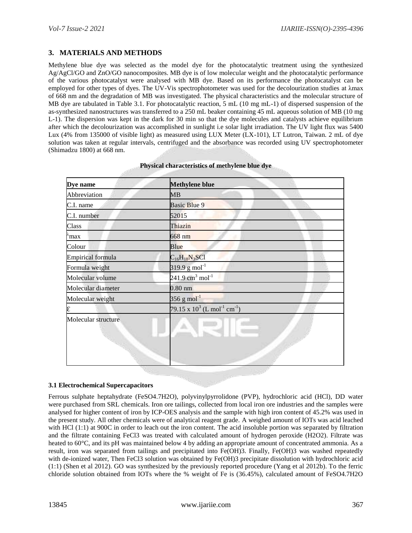# **3. MATERIALS AND METHODS**

Methylene blue dye was selected as the model dye for the photocatalytic treatment using the synthesized Ag/AgCl/GO and ZnO/GO nanocomposites. MB dye is of low molecular weight and the photocatalytic performance of the various photocatalyst were analysed with MB dye. Based on its performance the photocatalyst can be employed for other types of dyes. The UV-Vis spectrophotometer was used for the decolourization studies at λmax of 668 nm and the degradation of MB was investigated. The physical characteristics and the molecular structure of MB dye are tabulated in Table 3.1. For photocatalytic reaction, 5 mL (10 mg mL-1) of dispersed suspension of the as-synthesized nanostructures was transferred to a 250 mL beaker containing 45 mL aqueous solution of MB (10 mg L-1). The dispersion was kept in the dark for 30 min so that the dye molecules and catalysts achieve equilibrium after which the decolourization was accomplished in sunlight i.e solar light irradiation. The UV light flux was 5400 Lux (4% from 135000 of visible light) as measured using LUX Meter (LX-101), LT Lutron, Taiwan. 2 mL of dye solution was taken at regular intervals, centrifuged and the absorbance was recorded using UV spectrophotometer (Shimadzu 1800) at 668 nm.

| Dye name                 | <b>Methylene blue</b>                                  |
|--------------------------|--------------------------------------------------------|
| Abbreviation             | MB                                                     |
| C.I. name                | <b>Basic Blue 9</b>                                    |
| C.I. number              | 52015                                                  |
| Class                    | Thiazin                                                |
| `max                     | $668$ nm                                               |
| Colour                   | Blue                                                   |
| <b>Empirical formula</b> | $C_{16}H_{18}N_3SC1$                                   |
| Formula weight           | $319.9 g$ mol <sup>-1</sup>                            |
| Molecular volume         | $241.9$ cm <sup>3</sup> mol <sup>-1</sup>              |
| Molecular diameter       | $0.80$ nm                                              |
| Molecular weight         | $356$ g mol <sup>-1</sup>                              |
| ε                        | 79.15 x $10^3$ (L mol <sup>-1</sup> cm <sup>-1</sup> ) |
| Molecular structure      |                                                        |

|  | Physical characteristics of methylene blue dye |  |  |
|--|------------------------------------------------|--|--|
|--|------------------------------------------------|--|--|

## **3.1 Electrochemical Supercapacitors**

Ferrous sulphate heptahydrate (FeSO4.7H2O), polyvinylpyrrolidone (PVP), hydrochloric acid (HCl), DD water were purchased from SRL chemicals. Iron ore tailings, collected from local iron ore industries and the samples were analysed for higher content of iron by ICP-OES analysis and the sample with high iron content of 45.2% was used in the present study. All other chemicals were of analytical reagent grade. A weighed amount of IOTs was acid leached with HCl (1:1) at 900C in order to leach out the iron content. The acid insoluble portion was separated by filtration and the filtrate containing FeCl3 was treated with calculated amount of hydrogen peroxide (H2O2). Filtrate was heated to 60°C, and its pH was maintained below 4 by adding an appropriate amount of concentrated ammonia. As a result, iron was separated from tailings and precipitated into Fe(OH)3. Finally, Fe(OH)3 was washed repeatedly with de-ionized water, Then FeCl3 solution was obtained by Fe(OH)3 precipitate dissolution with hydrochloric acid (1:1) (Shen et al 2012). GO was synthesized by the previously reported procedure (Yang et al 2012b). To the ferric chloride solution obtained from IOTs where the % weight of Fe is (36.45%), calculated amount of FeSO4.7H2O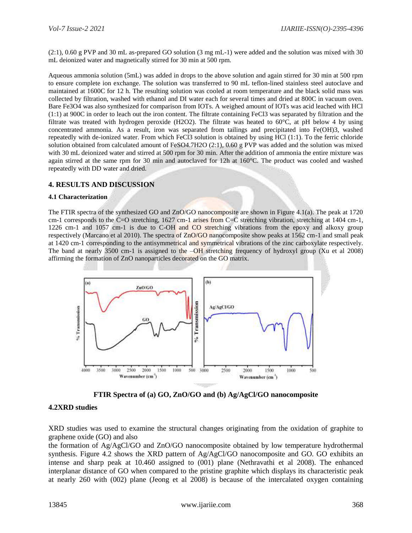(2:1), 0.60 g PVP and 30 mL as-prepared GO solution (3 mg mL-1) were added and the solution was mixed with 30 mL deionized water and magnetically stirred for 30 min at 500 rpm.

Aqueous ammonia solution (5mL) was added in drops to the above solution and again stirred for 30 min at 500 rpm to ensure complete ion exchange. The solution was transferred to 90 mL teflon-lined stainless steel autoclave and maintained at 1600C for 12 h. The resulting solution was cooled at room temperature and the black solid mass was collected by filtration, washed with ethanol and DI water each for several times and dried at 800C in vacuum oven. Bare Fe3O4 was also synthesized for comparison from IOTs. A weighed amount of IOTs was acid leached with HCl (1:1) at 900C in order to leach out the iron content. The filtrate containing FeCl3 was separated by filtration and the filtrate was treated with hydrogen peroxide (H2O2). The filtrate was heated to 60°C, at pH below 4 by using concentrated ammonia. As a result, iron was separated from tailings and precipitated into Fe(OH)3, washed repeatedly with de-ionized water. From which FeCl3 solution is obtained by using HCl (1:1). To the ferric chloride solution obtained from calculated amount of FeSO4.7H2O (2:1), 0.60 g PVP was added and the solution was mixed with 30 mL deionized water and stirred at 500 rpm for 30 min. After the addition of ammonia the entire mixture was again stirred at the same rpm for 30 min and autoclaved for 12h at 160°C. The product was cooled and washed repeatedly with DD water and dried.

# **4. RESULTS AND DISCUSSION**

#### **4.1 Characterization**

The FTIR spectra of the synthesized GO and ZnO/GO nanocomposite are shown in Figure 4.1(a). The peak at 1720 cm-1 corresponds to the C=O stretching, 1627 cm-1 arises from C=C stretching vibration, stretching at 1404 cm-1, 1226 cm-1 and 1057 cm-1 is due to C-OH and CO stretching vibrations from the epoxy and alkoxy group respectively (Marcano et al 2010). The spectra of ZnO/GO nanocomposite show peaks at 1562 cm-1 and small peak at 1420 cm-1 corresponding to the antisymmetrical and symmetrical vibrations of the zinc carboxylate respectively. The band at nearly 3500 cm-1 is assigned to the  $-\text{OH}$  stretching frequency of hydroxyl group (Xu et al 2008) affirming the formation of ZnO nanoparticles decorated on the GO matrix.



**FTIR Spectra of (a) GO, ZnO/GO and (b) Ag/AgCl/GO nanocomposite**

# **4.2XRD studies**

XRD studies was used to examine the structural changes originating from the oxidation of graphite to graphene oxide (GO) and also

the formation of Ag/AgCl/GO and ZnO/GO nanocomposite obtained by low temperature hydrothermal synthesis. Figure 4.2 shows the XRD pattern of Ag/AgCl/GO nanocomposite and GO. GO exhibits an intense and sharp peak at 10.460 assigned to (001) plane (Nethravathi et al 2008). The enhanced interplanar distance of GO when compared to the pristine graphite which displays its characteristic peak at nearly 260 with (002) plane (Jeong et al 2008) is because of the intercalated oxygen containing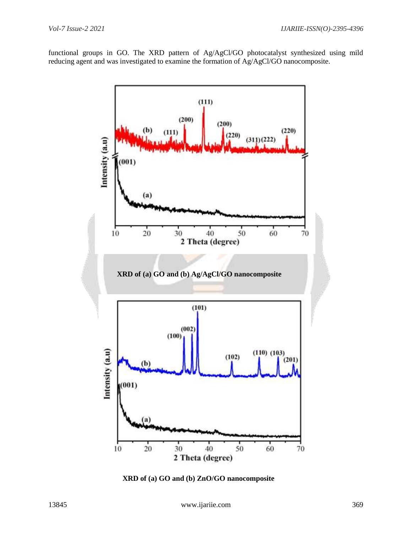functional groups in GO. The XRD pattern of Ag/AgCl/GO photocatalyst synthesized using mild reducing agent and was investigated to examine the formation of Ag/AgCl/GO nanocomposite.



 **XRD of (a) GO and (b) ZnO/GO nanocomposite**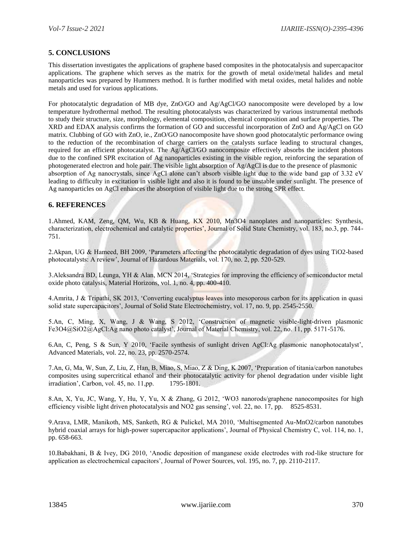# **5. CONCLUSIONS**

This dissertation investigates the applications of graphene based composites in the photocatalysis and supercapacitor applications. The graphene which serves as the matrix for the growth of metal oxide/metal halides and metal nanoparticles was prepared by Hummers method. It is further modified with metal oxides, metal halides and noble metals and used for various applications.

For photocatalytic degradation of MB dye, ZnO/GO and Ag/AgCl/GO nanocomposite were developed by a low temperature hydrothermal method. The resulting photocatalysts was characterized by various instrumental methods to study their structure, size, morphology, elemental composition, chemical composition and surface properties. The XRD and EDAX analysis confirms the formation of GO and successful incorporation of ZnO and Ag/AgCl on GO matrix. Clubbing of GO with ZnO, ie., ZnO/GO nanocomposite have shown good photocatalytic performance owing to the reduction of the recombination of charge carriers on the catalysts surface leading to structural changes, required for an efficient photocatalyst. The Ag/AgCl/GO nanocomposite effectively absorbs the incident photons due to the confined SPR excitation of Ag nanoparticles existing in the visible region, reinforcing the separation of photogenerated electron and hole pair. The visible light absorption of Ag/AgCl is due to the presence of plasmonic absorption of Ag nanocrystals, since AgCl alone can't absorb visible light due to the wide band gap of 3.32 eV leading to difficulty in excitation in visible light and also it is found to be unstable under sunlight. The presence of Ag nanoparticles on AgCl enhances the absorption of visible light due to the strong SPR effect.

# **6. REFERENCES**

1.Ahmed, KAM, Zeng, QM, Wu, KB & Huang, KX 2010, Mn3O4 nanoplates and nanoparticles: Synthesis, characterization, electrochemical and catalytic properties', Journal of Solid State Chemistry, vol. 183, no.3, pp. 744- 751.

2.Akpan, UG & Hameed, BH 2009, 'Parameters affecting the photocatalytic degradation of dyes using TiO2-based photocatalysts: A review', Journal of Hazardous Materials, vol. 170, no. 2, pp. 520-529.

3.Aleksandra BD, Leunga, YH & Alan, MCN 2014, 'Strategies for improving the efficiency of semiconductor metal oxide photo catalysis, Material Horizons, vol. 1, no. 4, pp. 400-410.

4.Amrita, J & Tripathi, SK 2013, 'Converting eucalyptus leaves into mesoporous carbon for its application in quasi solid state supercapacitors', Journal of Solid State Electrochemistry, vol. 17, no. 9, pp. 2545-2550.

5.An, C, Ming, X, Wang, J & Wang, S 2012, 'Construction of magnetic visible-light-driven plasmonic Fe3O4@SiO2@AgCl:Ag nano photo catalyst', Journal of Material Chemistry, vol. 22, no. 11, pp. 5171-5176.

6.An, C, Peng, S & Sun, Y 2010, 'Facile synthesis of sunlight driven AgCl:Ag plasmonic nanophotocatalyst', Advanced Materials, vol. 22, no. 23, pp. 2570-2574.

7.An, G, Ma, W, Sun, Z, Liu, Z, Han, B, Miao, S, Miao, Z & Ding, K 2007, 'Preparation of titania/carbon nanotubes composites using supercritical ethanol and their photocatalytic activity for phenol degradation under visible light irradiation', Carbon, vol. 45, no. 11, pp. 1795-1801.

8.An, X, Yu, JC, Wang, Y, Hu, Y, Yu, X & Zhang, G 2012, 'WO3 nanorods/graphene nanocomposites for high efficiency visible light driven photocatalysis and NO2 gas sensing', vol. 22, no. 17, pp. 8525-8531.

9.Arava, LMR, Manikoth, MS, Sanketh, RG & Pulickel, MA 2010, 'Multisegmented Au-MnO2/carbon nanotubes hybrid coaxial arrays for high-power supercapacitor applications', Journal of Physical Chemistry C, vol. 114, no. 1, pp. 658-663.

10.Babakhani, B & Ivey, DG 2010, 'Anodic deposition of manganese oxide electrodes with rod-like structure for application as electrochemical capacitors', Journal of Power Sources, vol. 195, no. 7, pp. 2110-2117.